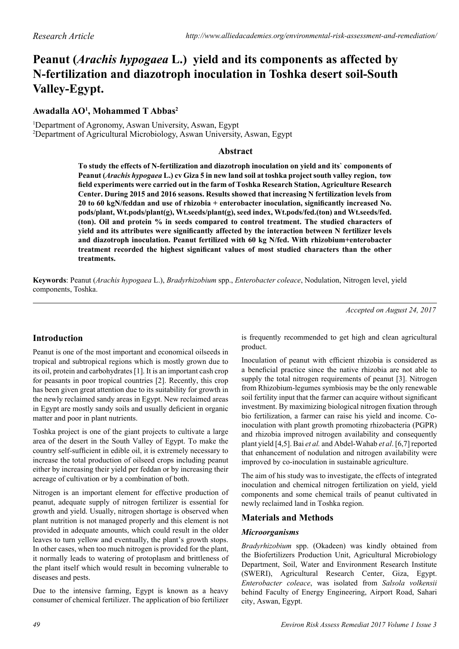# **Peanut (***Arachis hypogaea* **L.) yield and its components as affected by N-fertilization and diazotroph inoculation in Toshka desert soil-South Valley-Egypt.**

# **Awadalla AO<sup>1</sup> , Mohammed T Abbas<sup>2</sup>**

1 Department of Agronomy, Aswan University, Aswan, Egypt 2 Department of Agricultural Microbiology, Aswan University, Aswan, Egypt

## **Abstract**

**To study the effects of N-fertilization and diazotroph inoculation on yield and its` components of Peanut (***Arachis hypogaea* **L.) cv Giza 5 in new land soil at toshka project south valley region, tow field experiments were carried out in the farm of Toshka Research Station, Agriculture Research Center. During 2015 and 2016 seasons. Results showed that increasing N fertilization levels from 20 to 60 kgN/feddan and use of rhizobia + enterobacter inoculation, significantly increased No. pods/plant, Wt.pods/plant(g), Wt.seeds/plant(g), seed index, Wt.pods/fed.(ton) and Wt.seeds/fed. (ton). Oil and protein % in seeds compared to control treatment. The studied characters of yield and its attributes were significantly affected by the interaction between N fertilizer levels and diazotroph inoculation. Peanut fertilized with 60 kg N/fed. With rhizobium+enterobacter treatment recorded the highest significant values of most studied characters than the other treatments.**

**Keywords**: Peanut (*Arachis hypogaea* L.), *Bradyrhizobium* spp., *Enterobacter coleace*, Nodulation, Nitrogen level, yield components, Toshka.

*Accepted on August 24, 2017*

## **Introduction**

Peanut is one of the most important and economical oilseeds in tropical and subtropical regions which is mostly grown due to its oil, protein and carbohydrates [1]. It is an important cash crop for peasants in poor tropical countries [2]. Recently, this crop has been given great attention due to its suitability for growth in the newly reclaimed sandy areas in Egypt. New reclaimed areas in Egypt are mostly sandy soils and usually deficient in organic matter and poor in plant nutrients.

Toshka project is one of the giant projects to cultivate a large area of the desert in the South Valley of Egypt. To make the country self-sufficient in edible oil, it is extremely necessary to increase the total production of oilseed crops including peanut either by increasing their yield per feddan or by increasing their acreage of cultivation or by a combination of both.

Nitrogen is an important element for effective production of peanut, adequate supply of nitrogen fertilizer is essential for growth and yield. Usually, nitrogen shortage is observed when plant nutrition is not managed properly and this element is not provided in adequate amounts, which could result in the older leaves to turn yellow and eventually, the plant's growth stops. In other cases, when too much nitrogen is provided for the plant, it normally leads to watering of protoplasm and brittleness of the plant itself which would result in becoming vulnerable to diseases and pests.

Due to the intensive farming, Egypt is known as a heavy consumer of chemical fertilizer. The application of bio fertilizer

is frequently recommended to get high and clean agricultural product.

Inoculation of peanut with efficient rhizobia is considered as a beneficial practice since the native rhizobia are not able to supply the total nitrogen requirements of peanut [3]. Nitrogen from Rhizobium-legumes symbiosis may be the only renewable soil fertility input that the farmer can acquire without significant investment. By maximizing biological nitrogen fixation through bio fertilization, a farmer can raise his yield and income. Coinoculation with plant growth promoting rhizobacteria (PGPR) and rhizobia improved nitrogen availability and consequently plant yield [4,5]. Bai *et al.* and Abdel-Wahab *et al*. [6,7] reported that enhancement of nodulation and nitrogen availability were improved by co-inoculation in sustainable agriculture.

The aim of his study was to investigate, the effects of integrated inoculation and chemical nitrogen fertilization on yield, yield components and some chemical trails of peanut cultivated in newly reclaimed land in Toshka region.

## **Materials and Methods**

## *Microorganisms*

*Bradyrhizobium* spp. (Okadeen) was kindly obtained from the Biofertilizers Production Unit, Agricultural Microbiology Department, Soil, Water and Environment Research Institute (SWERI), Agricultural Research Center, Giza, Egypt. *Enterobacter coleace*, was isolated from *Salsola volkensii* behind Faculty of Energy Engineering, Airport Road, Sahari city, Aswan, Egypt.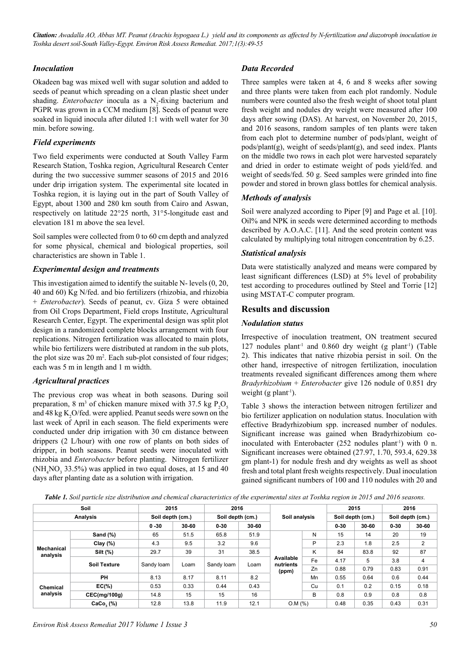*Citation: Awadalla AO, Abbas MT. Peanut (Arachis hypogaea L.) yield and its components as affected by N-fertilization and diazotroph inoculation in Toshka desert soil-South Valley-Egypt. Environ Risk Assess Remediat. 2017;1(3):49-55*

#### *Inoculation*

Okadeen bag was mixed well with sugar solution and added to seeds of peanut which spreading on a clean plastic sheet under shading. *Enterobacter* inocula as a  $N_2$ -fixing bacterium and PGPR was grown in a CCM medium [8]. Seeds of peanut were soaked in liquid inocula after diluted 1:1 with well water for 30 min. before sowing.

#### *Field experiments*

Two field experiments were conducted at South Valley Farm Research Station, Toshka region, Agricultural Research Center during the two successive summer seasons of 2015 and 2016 under drip irrigation system. The experimental site located in Toshka region, it is laying out in the part of South Valley of Egypt, about 1300 and 280 km south from Cairo and Aswan, respectively on latitude 22°25 north, 31°5-longitude east and elevation 181 m above the sea level.

Soil samples were collected from 0 to 60 cm depth and analyzed for some physical, chemical and biological properties, soil characteristics are shown in Table 1.

#### *Experimental design and treatments*

This investigation aimed to identify the suitable N- levels (0, 20, 40 and 60) Kg N/fed. and bio fertilizers (rhizobia, and rhizobia + *Enterobacter*). Seeds of peanut, cv. Giza 5 were obtained from Oil Crops Department, Field crops Institute, Agricultural Research Center, Egypt. The experimental design was split plot design in a randomized complete blocks arrangement with four replications. Nitrogen fertilization was allocated to main plots, while bio fertilizers were distributed at random in the sub plots, the plot size was  $20 \text{ m}^2$ . Each sub-plot consisted of four ridges; each was 5 m in length and 1 m width.

#### *Agricultural practices*

The previous crop was wheat in both seasons. During soil preparation, 8 m<sup>3</sup> of chicken manure mixed with 37.5 kg  $P_2O_5$ and 48 kg  $K_2O$ /fed. were applied. Peanut seeds were sown on the last week of April in each season. The field experiments were conducted under drip irrigation with 30 cm distance between drippers (2 L/hour) with one row of plants on both sides of dripper, in both seasons. Peanut seeds were inoculated with rhizobia and *Enterobacter* before planting. Nitrogen fertilizer  $(NH<sub>4</sub>NO<sub>3</sub> 33.5%)$  was applied in two equal doses, at 15 and 40 days after planting date as a solution with irrigation.

#### *Data Recorded*

Three samples were taken at 4, 6 and 8 weeks after sowing and three plants were taken from each plot randomly. Nodule numbers were counted also the fresh weight of shoot total plant fresh weight and nodules dry weight were measured after 100 days after sowing (DAS). At harvest, on November 20, 2015, and 2016 seasons, random samples of ten plants were taken from each plot to determine number of pods/plant, weight of pods/plant(g), weight of seeds/plant(g), and seed index. Plants on the middle two rows in each plot were harvested separately and dried in order to estimate weight of pods yield/fed. and weight of seeds/fed. 50 g. Seed samples were grinded into fine powder and stored in brown glass bottles for chemical analysis.

#### *Methods of analysis*

Soil were analyzed according to Piper [9] and Page et al. [10]. Oil% and NPK in seeds were determined according to methods described by A.O.A.C. [11]. And the seed protein content was calculated by multiplying total nitrogen concentration by 6.25.

#### *Statistical analysis*

Data were statistically analyzed and means were compared by least significant differences (LSD) at 5% level of probability test according to procedures outlined by Steel and Torrie [12] using MSTAT-C computer program.

#### **Results and discussion**

#### *Nodulation status*

Irrespective of inoculation treatment, ON treatment secured 127 nodules plant<sup>-1</sup> and  $0.860$  dry weight (g plant<sup>-1</sup>) (Table 2). This indicates that native rhizobia persist in soil. On the other hand, irrespective of nitrogen fertilization, inoculation treatments revealed significant differences among them where *Bradyrhizobium* + *Enterobacter* give 126 nodule of 0.851 dry weight (g plant<sup>-1</sup>).

Table 3 shows the interaction between nitrogen fertilizer and bio fertilizer application on nodulation status. Inoculation with effective Bradyrhizobium spp. increased number of nodules. Significant increase was gained when Bradyrhizobium coinoculated with Enterobacter  $(252 \text{ modules plant}^{-1})$  with 0 n. Significant increases were obtained (27.97, 1.70, 593.4, 629.38 gm plant-1) for nodule fresh and dry weights as well as shoot fresh and total plant fresh weights respectively. Dual inoculation gained significant numbers of 100 and 110 nodules with 20 and

*Table 1. Soil particle size distribution and chemical characteristics of the experimental sites at Toshka region in 2015 and 2016 seasons.*

| Soil                                      |                     | 2015             |       | 2016             |           |                        |    |          | 2015             |                  | 2016           |
|-------------------------------------------|---------------------|------------------|-------|------------------|-----------|------------------------|----|----------|------------------|------------------|----------------|
|                                           | <b>Analysis</b>     | Soil depth (cm.) |       | Soil depth (cm.) |           | Soil analysis          |    |          | Soil depth (cm.) | Soil depth (cm.) |                |
|                                           |                     | $0 - 30$         | 30-60 | $0 - 30$         | $30 - 60$ |                        |    | $0 - 30$ | $30 - 60$        | $0 - 30$         | 30-60          |
|                                           | Sand $(\%)$         | 65               | 51.5  | 65.8             | 51.9      |                        | N  | 15       | 14               | 20               | 19             |
|                                           | Clay $(\%)$         | 4.3              | 9.5   | 3.2              | 9.6       |                        | P  | 2.3      | 1.8              | 2.5              | $\overline{2}$ |
|                                           | Silt (%)            | 29.7             | 39    | 31               | 38.5      |                        | K  | 84       | 83.8             | 92               | 87             |
|                                           | <b>Soil Texture</b> | Sandy loam       | Loam  | Sandy loam       | Loam      | Available<br>nutrients | Fe | 4.17     | 5                | 3.8              | 4              |
|                                           |                     |                  |       |                  |           | (ppm)                  | Zn | 0.88     | 0.79             | 0.83             | 0.91           |
|                                           | PH                  | 8.13             | 8.17  | 8.11             | 8.2       |                        | Mn | 0.55     | 0.64             | 0.6              | 0.44           |
| Chemical                                  | $EC(\%)$            | 0.53             | 0.33  | 0.44             | 0.43      |                        | Cu | 0.1      | 0.2              | 0.15             | 0.18           |
| <b>Mechanical</b><br>analysis<br>analysis | CEC(mg/100g)        | 14.8             | 15    | 15               | 16        |                        | B  | 0.8      | 0.9              | 0.8              | 0.8            |
|                                           | CACo, (%)           | 12.8             | 13.8  | 11.9             | 12.1      | O.M (%)                |    | 0.48     | 0.35             | 0.43             | 0.31           |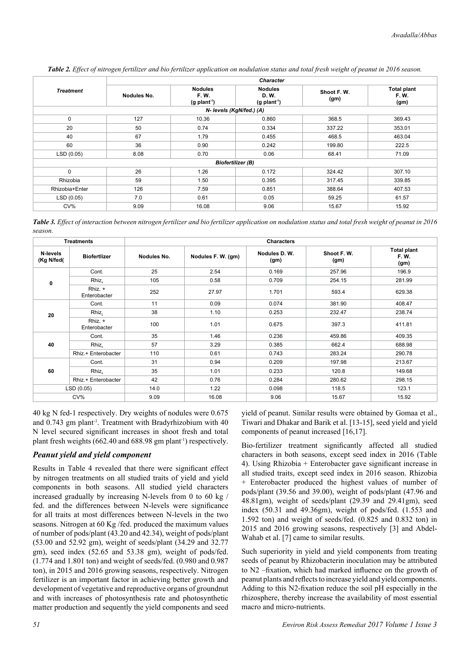|                  |             | <b>Character</b>                                            |                                                             |                    |                                    |  |  |  |  |  |  |  |  |
|------------------|-------------|-------------------------------------------------------------|-------------------------------------------------------------|--------------------|------------------------------------|--|--|--|--|--|--|--|--|
| <b>Treatment</b> | Nodules No. | <b>Nodules</b><br><b>F.W.</b><br>$(g$ plant <sup>-1</sup> ) | <b>Nodules</b><br><b>D.W.</b><br>$(g$ plant <sup>-1</sup> ) | Shoot F.W.<br>(gm) | <b>Total plant</b><br>F.W.<br>(gm) |  |  |  |  |  |  |  |  |
|                  |             | N- levels (KgN/fed.) (A)                                    |                                                             |                    |                                    |  |  |  |  |  |  |  |  |
| $\mathbf 0$      | 127         | 10.36                                                       | 0.860                                                       | 368.5              | 369.43                             |  |  |  |  |  |  |  |  |
| 20               | 50          | 0.74                                                        | 0.334                                                       | 337.22             | 353.01                             |  |  |  |  |  |  |  |  |
| 40               | 67          | 1.79                                                        | 0.455                                                       | 468.5              | 463.04                             |  |  |  |  |  |  |  |  |
| 60               | 36          | 0.90                                                        | 0.242                                                       | 199.80             | 222.5                              |  |  |  |  |  |  |  |  |
| LSD(0.05)        | 8.08        | 0.70                                                        | 0.06                                                        | 68.41              | 71.09                              |  |  |  |  |  |  |  |  |
|                  |             | <b>Biofertilizer (B)</b>                                    |                                                             |                    |                                    |  |  |  |  |  |  |  |  |
| $\mathbf 0$      | 26          | 1.26                                                        | 0.172                                                       | 324.42             | 307.10                             |  |  |  |  |  |  |  |  |
| Rhizobia         | 59          | 1.50                                                        | 0.395                                                       | 317.45             | 339.85                             |  |  |  |  |  |  |  |  |
| Rhizobia+Enter   | 126         | 7.59                                                        | 0.851                                                       | 388.64             | 407.53                             |  |  |  |  |  |  |  |  |
| LSD (0.05)       | 7.0         | 0.61                                                        | 0.05                                                        | 59.25              | 61.57                              |  |  |  |  |  |  |  |  |
| CV%              | 9.09        | 16.08                                                       | 9.06                                                        | 15.67              | 15.92                              |  |  |  |  |  |  |  |  |

*Table 2. Effect of nitrogen fertilizer and bio fertilizer application on nodulation status and total fresh weight of peanut in 2016 season.*

*Table 3. Effect of interaction between nitrogen fertilizer and bio fertilizer application on nodulation status and total fresh weight of peanut in 2016 season.*

|                               | <b>Treatments</b>       |             |                    | <b>Characters</b>     |                    |                                    |
|-------------------------------|-------------------------|-------------|--------------------|-----------------------|--------------------|------------------------------------|
| <b>N-levels</b><br>(Kg N/fed( | <b>Biofertlizer</b>     | Nodules No. | Nodules F. W. (gm) | Nodules D. W.<br>(gm) | Shoot F.W.<br>(gm) | <b>Total plant</b><br>F.W.<br>(gm) |
|                               | Cont.                   | 25          | 2.54               | 0.169                 | 257.96             | 196.9                              |
| $\mathbf 0$                   | Rhiz.                   | 105         | 0.58               | 0.709                 | 254.15             | 281.99                             |
|                               | Rhiz. +<br>Enterobacter | 252         | 27.97              | 1.701                 | 593.4              | 629.38                             |
|                               | Cont.                   | 11          | 0.09               | 0.074                 | 381.90             | 408.47                             |
| 20                            | Rhiz.                   | 38          | 1.10               | 0.253                 | 232.47             | 238.74                             |
|                               | Rhiz. +<br>Enterobacter | 100         | 1.01               | 0.675                 | 397.3              | 411.81                             |
|                               | Cont.                   | 35          | 1.46               | 0.236                 | 459.86             | 409.35                             |
| 40                            | Rhiz.                   | 57          | 3.29               | 0.385                 | 662.4              | 688.98                             |
|                               | Rhiz.+ Enterobacter     | 110         | 0.61               | 0.743                 | 283.24             | 290.78                             |
|                               | Cont.                   | 31          | 0.94               | 0.209                 | 197.98             | 213.67                             |
| 60                            | Rhiz.                   | 35          | 1.01               | 0.233                 | 120.8              | 149.68                             |
|                               | Rhiz.+ Enterobacter     | 42          | 0.76               | 0.284                 | 280.62             | 298.15                             |
|                               | LSD(0.05)               | 14.0        | 1.22               | 0.098                 | 118.5              | 123.1                              |
|                               | CV%                     | 9.09        | 16.08              | 9.06                  | 15.67              | 15.92                              |

40 kg N fed-1 respectively. Dry weights of nodules were 0.675 and  $0.743$  gm plant<sup>-1</sup>. Treatment with Bradyrhizobium with  $40$ N level secured significant increases in shoot fresh and total plant fresh weights (662.40 and 688.98 gm plant-1) respectively.

#### *Peanut yield and yield component*

Results in Table 4 revealed that there were significant effect by nitrogen treatments on all studied traits of yield and yield components in both seasons. All studied yield characters increased gradually by increasing N-levels from 0 to 60 kg / fed. and the differences between N-levels were significance for all traits at most differences between N-levels in the two seasons. Nitrogen at 60 Kg /fed. produced the maximum values of number of pods/plant (43.20 and 42.34), weight of pods/plant (53.00 and 52.92 gm), weight of seeds/plant (34.29 and 32.77 gm), seed index (52.65 and 53.38 gm), weight of pods/fed. (1.774 and 1.801 ton) and weight of seeds/fed. (0.980 and 0.987 ton), in 2015 and 2016 growing seasons, respectively. Nitrogen fertilizer is an important factor in achieving better growth and development of vegetative and reproductive organs of groundnut and with increases of photosynthesis rate and photosynthetic matter production and sequently the yield components and seed

yield of peanut. Similar results were obtained by Gomaa et al., Tiwari and Dhakar and Barik et al. [13-15], seed yield and yield components of peanut increased [16,17].

Bio-fertilizer treatment significantly affected all studied characters in both seasons, except seed index in 2016 (Table 4). Using Rhizobia + Enterobacter gave significant increase in all studied traits, except seed index in 2016 season. Rhizobia + Enterobacter produced the highest values of number of pods/plant (39.56 and 39.00), weight of pods/plant (47.96 and 48.81gm), weight of seeds/plant (29.39 and 29.41gm), seed index (50.31 and 49.36gm), weight of pods/fed. (1.553 and 1.592 ton) and weight of seeds/fed. (0.825 and 0.832 ton) in 2015 and 2016 growing seasons, respectively [3] and Abdel-Wahab et al. [7] came to similar results.

Such superiority in yield and yield components from treating seeds of peanut by Rhizobacterin inoculation may be attributed to N2 –fixation, which had marked influence on the growth of peanut plants and reflects to increase yield and yield components. Adding to this N2-fixation reduce the soil pH especially in the rhizosphere, thereby increase the availability of most essential macro and micro-nutrients.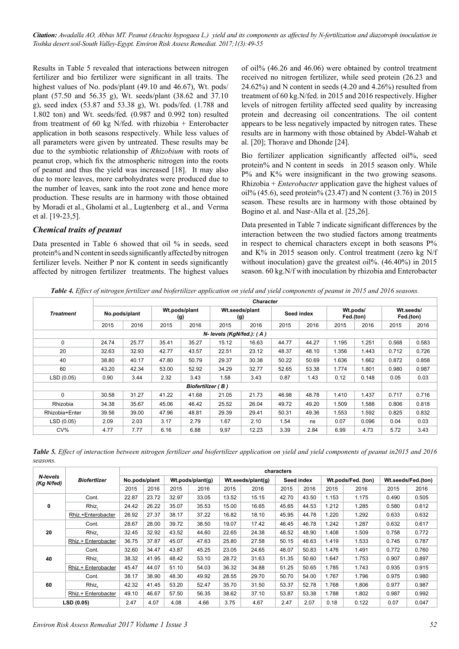*Citation: Awadalla AO, Abbas MT. Peanut (Arachis hypogaea L.) yield and its components as affected by N-fertilization and diazotroph inoculation in Toshka desert soil-South Valley-Egypt. Environ Risk Assess Remediat. 2017;1(3):49-55*

Results in Table 5 revealed that interactions between nitrogen fertilizer and bio fertilizer were significant in all traits. The highest values of No. pods/plant (49.10 and 46.67), Wt. pods/ plant (57.50 and 56.35 g), Wt. seeds/plant (38.62 and 37.10 g), seed index (53.87 and 53.38 g), Wt. pods/fed. (1.788 and 1.802 ton) and Wt. seeds/fed. (0.987 and 0.992 ton) resulted from treatment of 60 kg N/fed. with rhizobia + Enterobacter application in both seasons respectively. While less values of all parameters were given by untreated. These results may be due to the symbiotic relationship of *Rhizobium* with roots of peanut crop, which fix the atmospheric nitrogen into the roots of peanut and thus the yield was increased [18]. It may also due to more leaves, more carbohydrates were produced due to the number of leaves, sank into the root zone and hence more production. These results are in harmony with those obtained by Moradi et al., Gholami et al., Lugtenberg et al., and Verma et al. [19-23,5].

#### *Chemical traits of peanut*

Data presented in Table 6 showed that oil % in seeds, seed protein% and N content in seeds significantly affected by nitrogen fertilizer levels. Neither P nor K content in seeds significantly affected by nitrogen fertilizer treatments. The highest values of oil% (46.26 and 46.06) were obtained by control treatment received no nitrogen fertilizer, while seed protein (26.23 and 24.62%) and N content in seeds (4.20 and 4.26%) resulted from treatment of 60 kg.N/fed. in 2015 and 2016 respectively. Higher levels of nitrogen fertility affected seed quality by increasing protein and decreasing oil concentrations. The oil content appears to be less negatively impacted by nitrogen rates. These results are in harmony with those obtained by Abdel-Wahab et al. [20]; Thorave and Dhonde [24].

Bio fertilizer application significantly affected oil%, seed protein% and N content in seeds in 2015 season only. While P% and K% were insignificant in the two growing seasons. Rhizobia + *Enterobacter* application gave the highest values of oil% (45.6), seed protein% (23.47) and N content (3.76) in 2015 season. These results are in harmony with those obtained by Bogino et al. and Nasr-Alla et al. [25,26].

Data presented in Table 7 indicate significant differences by the interaction between the two studied factors among treatments in respect to chemical characters except in both seasons P% and K% in 2015 season only. Control treatment (zero kg N/f without inoculation) gave the greatest oil%. (46.40%) in 2015 season. 60 kg.N/f with inoculation by rhizobia and Enterobacter

*Table 4. Effect of nitrogen fertilizer and biofertilizer application on yield and yield components of peanut in 2015 and 2016 seasons.*

|                  |                           | Character |                      |                   |                       |       |            |       |                       |       |                        |       |  |  |  |
|------------------|---------------------------|-----------|----------------------|-------------------|-----------------------|-------|------------|-------|-----------------------|-------|------------------------|-------|--|--|--|
| <b>Treatment</b> | No.pods/plant             |           | Wt.pods/plant<br>(g) |                   | Wt.seeds/plant<br>(g) |       | Seed index |       | Wt.pods/<br>Fed.(ton) |       | Wt.seeds/<br>Fed.(ton) |       |  |  |  |
|                  | 2015                      | 2016      | 2015                 | 2016              | 2015                  | 2016  | 2015       | 2016  | 2015                  | 2016  | 2015                   | 2016  |  |  |  |
|                  | N- levels (KgN/fed.): (A) |           |                      |                   |                       |       |            |       |                       |       |                        |       |  |  |  |
| $\Omega$         | 24.74                     | 25.77     | 35.41                | 35.27             | 15.12                 | 16.63 | 44.77      | 44.27 | 1.195                 | 1.251 | 0.568                  | 0.583 |  |  |  |
| 20               | 32.63                     | 32.93     | 42.77                | 43.57             | 22.51                 | 23.12 | 48.37      | 48.10 | 1.356                 | 1.443 | 0.712                  | 0.726 |  |  |  |
| 40               | 38.80                     | 40.17     | 47.80                | 50.79             | 29.37                 | 30.38 | 50.22      | 50.69 | 1.636                 | 1.662 | 0.872                  | 0.858 |  |  |  |
| 60               | 43.20                     | 42.34     | 53.00                | 52.92             | 34.29                 | 32.77 | 52.65      | 53.38 | 1.774                 | 1.801 | 0.980                  | 0.987 |  |  |  |
| LSD (0.05)       | 0.90                      | 3.44      | 2.32                 | 3.43              | 1.58                  | 3.43  | 0.87       | 1.43  | 0.12                  | 0.148 | 0.05                   | 0.03  |  |  |  |
|                  |                           |           |                      | Biofertilizer (B) |                       |       |            |       |                       |       |                        |       |  |  |  |
| $\Omega$         | 30.58                     | 31.27     | 41.22                | 41.68             | 21.05                 | 21.73 | 46.98      | 48.78 | 1.410                 | 1.437 | 0.717                  | 0.716 |  |  |  |
| Rhizobia         | 34.38                     | 35.67     | 45.06                | 46.42             | 25.52                 | 26.04 | 49.72      | 49.20 | 1.509                 | 1.588 | 0.806                  | 0.818 |  |  |  |
| Rhizobia+Enter   | 39.56                     | 39.00     | 47.96                | 48.81             | 29.39                 | 29.41 | 50.31      | 49.36 | 1.553                 | 1.592 | 0.825                  | 0.832 |  |  |  |
| LSD (0.05)       | 2.09                      | 2.03      | 3.17                 | 2.79              | 1.67                  | 2.10  | 1.54       | ns    | 0.07                  | 0.096 | 0.04                   | 0.03  |  |  |  |
| CV%              | 4.77                      | 7.77      | 6.16                 | 6.88              | 9,97                  | 12.23 | 3.39       | 2.84  | 6.99                  | 4.73  | 5.72                   | 3.43  |  |  |  |

*Table 5. Effect of interaction between nitrogen fertilizer and biofertilizer application on yield and yield components of peanut in2015 and 2016 seasons.*

|                        |                     | characters    |       |       |                  |       |                   |       |            |       |                    |       |                    |  |
|------------------------|---------------------|---------------|-------|-------|------------------|-------|-------------------|-------|------------|-------|--------------------|-------|--------------------|--|
| N-levels<br>(Kg N/fed) | <b>Biofertlizer</b> | No.pods/plant |       |       | Wt.pods/plant(g) |       | Wt.seeds/plant(g) |       | Seed index |       | Wt.pods/Fed. (ton) |       | Wt.seeds/Fed.(ton) |  |
|                        |                     | 2015          | 2016  | 2015  | 2016             | 2015  | 2016              | 2015  | 2016       | 2015  | 2016               | 2015  | 2016               |  |
|                        | Cont.               | 22.87         | 23.72 | 32.97 | 33.05            | 13.52 | 15.15             | 42.70 | 43.50      | 1.153 | 1.175              | 0.490 | 0.505              |  |
| 0                      | Rhiz.               | 24.42         | 26.22 | 35.07 | 35.53            | 15.00 | 16.65             | 45.65 | 44.53      | 1.212 | 1.285              | 0.580 | 0.612              |  |
|                        | Rhiz.+Enterobacter  | 26.92         | 27.37 | 38.17 | 37.22            | 16.82 | 18.10             | 45.95 | 44.78      | 1.220 | 1.292              | 0.633 | 0.632              |  |
|                        | Cont.               | 28.67         | 28.00 | 39.72 | 38.50            | 19.07 | 17.42             | 46.45 | 46.78      | 1.242 | 1.287              | 0.632 | 0.617              |  |
| 20                     | Rhiz.               | 32.45         | 32.92 | 43.52 | 44.60            | 22.65 | 24.38             | 48.52 | 48.90      | 1.408 | 1.509              | 0.758 | 0.772              |  |
|                        | Rhiz.+ Enterobacter | 36.75         | 37.87 | 45.07 | 47.63            | 25.80 | 27.58             | 50.15 | 48.63      | 1.419 | 1.533              | 0.745 | 0.787              |  |
|                        | Cont.               | 32.60         | 34.47 | 43.87 | 45.25            | 23.05 | 24.65             | 48.07 | 50.83      | 1.476 | 1.491              | 0.772 | 0.760              |  |
| 40                     | Rhiz.               | 38.32         | 41.95 | 48.42 | 53.10            | 28.72 | 31.63             | 51.35 | 50.60      | 1.647 | 1.753              | 0.907 | 0.897              |  |
|                        | Rhiz.+ Enterobacter | 45.47         | 44.07 | 51.10 | 54.03            | 36.32 | 34.88             | 51.25 | 50.65      | 1.785 | 1.743              | 0.935 | 0.915              |  |
|                        | Cont.               | 38.17         | 38.90 | 48.30 | 49.92            | 28.55 | 29.70             | 50.70 | 54.00      | 1.767 | 1.796              | 0.975 | 0.980              |  |
| 60                     | Rhiz.               | 42.32         | 41.45 | 53.20 | 52.47            | 35.70 | 31.50             | 53.37 | 52.78      | 1.768 | 1.806              | 0.977 | 0.987              |  |
|                        | Rhiz.+ Enterobacter | 49.10         | 46.67 | 57.50 | 56.35            | 38.62 | 37.10             | 53.87 | 53.38      | 1.788 | 1.802              | 0.987 | 0.992              |  |
|                        | LSD (0.05)          | 2.47          | 4.07  | 4.08  | 4.66             | 3.75  | 4.67              | 2.47  | 2.07       | 0.18  | 0.122              | 0.07  | 0.047              |  |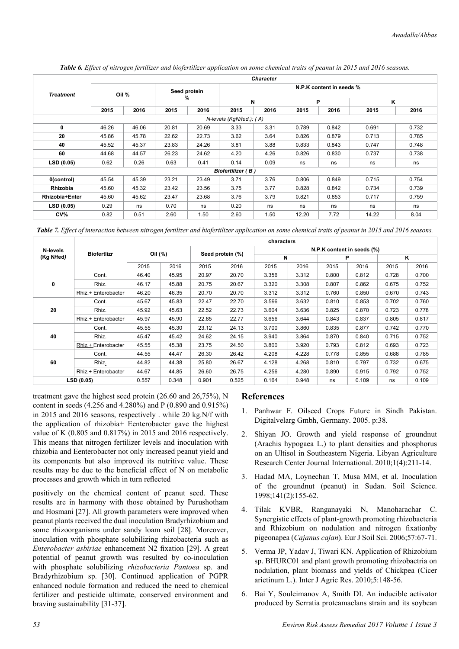*Table 6. Effect of nitrogen fertilizer and biofertilizer application on some chemical traits of peanut in 2015 and 2016 seasons.*

|                       | <b>Character</b> |       |              |       |                          |      |       |       |       |       |  |  |  |  |
|-----------------------|------------------|-------|--------------|-------|--------------------------|------|-------|-------|-------|-------|--|--|--|--|
| <b>Treatment</b>      | Oil %            |       | Seed protein |       | N.P.K content in seeds % |      |       |       |       |       |  |  |  |  |
|                       |                  |       | %            |       |                          | N    |       | P     | Κ     |       |  |  |  |  |
|                       | 2015             | 2016  | 2015         | 2016  | 2015                     | 2016 | 2015  | 2016  | 2015  | 2016  |  |  |  |  |
|                       |                  |       |              |       | N-levels (KgN/fed.): (A) |      |       |       |       |       |  |  |  |  |
| 0                     | 46.26            | 46.06 | 20.81        | 20.69 | 3.33                     | 3.31 | 0.789 | 0.842 | 0.691 | 0.732 |  |  |  |  |
| 20                    | 45.86            | 45.78 | 22.62        | 22.73 | 3.62                     | 3.64 | 0.826 | 0.879 | 0.713 | 0.785 |  |  |  |  |
| 40                    | 45.52            | 45.37 | 23.83        | 24.26 | 3.81                     | 3.88 | 0.833 | 0.843 | 0.747 | 0.748 |  |  |  |  |
| 60                    | 44.68            | 44.57 | 26.23        | 24.62 | 4.20                     | 4.26 | 0.826 | 0.830 | 0.737 | 0.738 |  |  |  |  |
| LSD (0.05)            | 0.62             | 0.26  | 0.63         | 0.41  | 0.14                     | 0.09 | ns    | ns    | ns    | ns    |  |  |  |  |
|                       |                  |       |              |       | Biofertilizer (B)        |      |       |       |       |       |  |  |  |  |
| 0(control)            | 45.54            | 45.39 | 23.21        | 23.49 | 3.71                     | 3.76 | 0.806 | 0.849 | 0.715 | 0.754 |  |  |  |  |
| <b>Rhizobia</b>       | 45.60            | 45.32 | 23.42        | 23.56 | 3.75                     | 3.77 | 0.828 | 0.842 | 0.734 | 0.739 |  |  |  |  |
| <b>Rhizobia+Enter</b> | 45.60            | 45.62 | 23.47        | 23.68 | 3.76                     | 3.79 | 0.821 | 0.853 | 0.717 | 0.759 |  |  |  |  |
| LSD (0.05)            | 0.29             | ns    | 0.70         | ns    | 0.20                     | ns   | ns    | ns    | ns    | ns    |  |  |  |  |
| CV%                   | 0.82             | 0.51  | 2.60         | 1.50  | 2.60                     | 1.50 | 12.20 | 7.72  | 14.22 | 8.04  |  |  |  |  |

*Table 7. Effect of interaction between nitrogen fertilizer and biofertilizer application on some chemical traits of peanut in 2015 and 2016 seasons.*

|            |                     | characters |       |       |                  |                            |       |       |       |       |       |  |  |  |
|------------|---------------------|------------|-------|-------|------------------|----------------------------|-------|-------|-------|-------|-------|--|--|--|
| N-levels   | <b>Biofertlizr</b>  | Oil (%)    |       |       | Seed protein (%) | N.P.K content in seeds (%) |       |       |       |       |       |  |  |  |
| (Kg N/fed) |                     |            |       |       |                  | N                          |       |       | Р     |       | κ     |  |  |  |
|            |                     | 2015       | 2016  | 2015  | 2016             | 2015                       | 2016  | 2015  | 2016  | 2015  | 2016  |  |  |  |
|            | Cont.               | 46.40      | 45.95 | 20.97 | 20.70            | 3.356                      | 3.312 | 0.800 | 0.812 | 0.728 | 0.700 |  |  |  |
| 0          | Rhiz.               | 46.17      | 45.88 | 20.75 | 20.67            | 3.320                      | 3.308 | 0.807 | 0.862 | 0.675 | 0.752 |  |  |  |
|            | Rhiz.+ Enterobacter | 46.20      | 46.35 | 20.70 | 20.70            | 3.312                      | 3.312 | 0.760 | 0.850 | 0.670 | 0.743 |  |  |  |
|            | Cont.               | 45.67      | 45.83 | 22.47 | 22.70            | 3.596                      | 3.632 | 0.810 | 0.853 | 0.702 | 0.760 |  |  |  |
| 20         | Rhiz.               | 45.92      | 45.63 | 22.52 | 22.73            | 3.604                      | 3.636 | 0.825 | 0.870 | 0.723 | 0.778 |  |  |  |
|            | Rhiz.+ Enterobacter | 45.97      | 45.90 | 22.85 | 22.77            | 3.656                      | 3.644 | 0.843 | 0.837 | 0.805 | 0.817 |  |  |  |
|            | Cont.               | 45.55      | 45.30 | 23.12 | 24.13            | 3.700                      | 3.860 | 0.835 | 0.877 | 0.742 | 0.770 |  |  |  |
| 40         | Rhiz.               | 45.47      | 45.42 | 24.62 | 24.15            | 3.940                      | 3.864 | 0.870 | 0.840 | 0.715 | 0.752 |  |  |  |
|            | Rhiz.+ Enterobacter | 45.55      | 45.38 | 23.75 | 24.50            | 3.800                      | 3.920 | 0.793 | 0.812 | 0.693 | 0.723 |  |  |  |
|            | Cont.               | 44.55      | 44.47 | 26.30 | 26.42            | 4.208                      | 4.228 | 0.778 | 0.855 | 0.688 | 0.785 |  |  |  |
| 60         | Rhiz.               | 44.82      | 44.38 | 25.80 | 26.67            | 4.128                      | 4.268 | 0.810 | 0.797 | 0.732 | 0.675 |  |  |  |
|            | Rhiz.+ Enterobacter | 44.67      | 44.85 | 26.60 | 26.75            | 4.256                      | 4.280 | 0.890 | 0.915 | 0.792 | 0.752 |  |  |  |
|            | LSD (0.05)          | 0.557      | 0.348 | 0.901 | 0.525            | 0.164                      | 0.948 | ns    | 0.109 | ns    | 0.109 |  |  |  |

treatment gave the highest seed protein (26.60 and 26,75%), N content in seeds (4.256 and 4.280%) and P (0.890 and 0.915%) in 2015 and 2016 seasons, respectively . while 20 kg.N/f with the application of rhizobia+ Eenterobacter gave the highest value of K (0.805 and 0.817%) in 2015 and 2016 respectively. This means that nitrogen fertilizer levels and inoculation with rhizobia and Eenterobacter not only increased peanut yield and its components but also improved its nutritive value. These results may be due to the beneficial effect of N on metabolic processes and growth which in turn reflected

positively on the chemical content of peanut seed. These results are in harmony with those obtained by Purushotham and Hosmani [27]. All growth parameters were improved when peanut plants received the dual inoculation Bradyrhizobium and some rhizoorganisms under sandy loam soil [28]. Moreover, inoculation with phosphate solubilizing rhizobacteria such as *Enterobacter asbiriae* enhancement N2 fixation [29]. A great potential of peanut growth was resulted by co-inoculation with phosphate solubilizing *rhizobacteria Pantoea* sp. and Bradyrhizobium sp. [30]. Continued application of PGPR enhanced nodule formation and reduced the need to chemical fertilizer and pesticide ultimate, conserved environment and braving sustainability [31-37].

#### **References**

- 1. Panhwar F. Oilseed Crops Future in Sindh Pakistan. Digitalvelarg Gmbh, Germany. 2005. p:38.
- 2. Shiyan JO. Growth and yield response of groundnut (Arachis hypogaea L.) to plant densities and phosphorus on an Ultisol in Southeastern Nigeria. Libyan Agriculture Research Center Journal International. 2010;1(4):211-14.
- 3. Hadad MA, Loynechan T, Musa MM, et al. Inoculation of the groundnut (peanut) in Sudan. Soil Science. 1998;141(2):155-62.
- 4. Tilak KVBR, Ranganayaki N, Manoharachar C. Synergistic effects of plant-growth promoting rhizobacteria and Rhizobium on nodulation and nitrogen fixationby pigeonapea (*Cajanus cajan*). Eur J Soil Sci. 2006;57:67-71.
- 5. Verma JP, Yadav J, Tiwari KN. Application of Rhizobium sp. BHURC01 and plant growth promoting rhizobactria on nodulation, plant biomass and yields of Chickpea (Cicer arietinum L.). Inter J Agric Res. 2010;5:148-56.
- 6. Bai Y, Souleimanov A, Smith DI. An inducible activator produced by Serratia proteamaclans strain and its soybean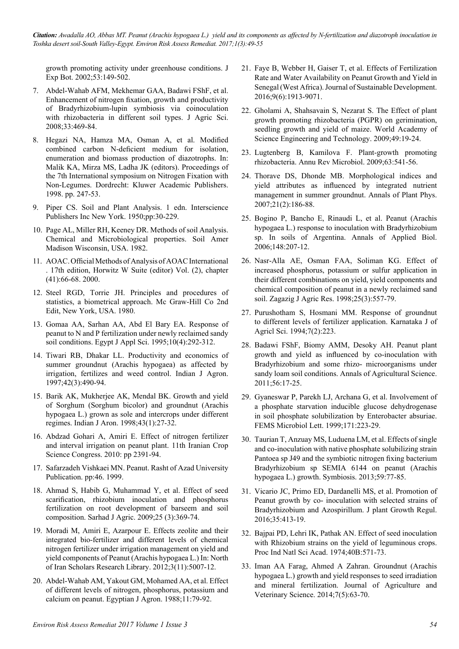*Citation: Awadalla AO, Abbas MT. Peanut (Arachis hypogaea L.) yield and its components as affected by N-fertilization and diazotroph inoculation in Toshka desert soil-South Valley-Egypt. Environ Risk Assess Remediat. 2017;1(3):49-55*

growth promoting activity under greenhouse conditions. J Exp Bot. 2002;53:149-502.

- 7. Abdel-Wahab AFM, Mekhemar GAA, Badawi FShF, et al. Enhancement of nitrogen fixation, growth and productivity of Bradyrhizobium-lupin symbiosis via coinoculation with rhizobacteria in different soil types. J Agric Sci. 2008;33:469-84.
- 8. Hegazi NA, Hamza MA, Osman A, et al. Modified combined carbon N-deficient medium for isolation, enumeration and biomass production of diazotrophs. In: Malik KA, Mirza MS, Ladha JK (editors). Proceedings of the 7th International symposium on Nitrogen Fixation with Non-Legumes. Dordrecht: Kluwer Academic Publishers. 1998. pp. 247-53.
- 9. Piper CS. Soil and Plant Analysis. 1 edn. Interscience Publishers Inc New York. 1950;pp:30-229.
- 10. Page AL, Miller RH, Keeney DR. Methods of soil Analysis. Chemical and Microbiological properties. Soil Amer Madison Wisconsin, USA. 1982.
- 11. AOAC. Official Methods of Analysis of AOAC International . 17th edition, Horwitz W Suite (editor) Vol. (2), chapter (41):66-68. 2000.
- 12. Steel RGD, Torrie JH. Principles and procedures of statistics, a biometrical approach. Mc Graw-Hill Co 2nd Edit, New York, USA. 1980.
- 13. Gomaa AA, Sarhan AA, Abd El Bary EA. Response of peanut to N and P fertilization under newly reclaimed sandy soil conditions. Egypt J Appl Sci. 1995;10(4):292-312.
- 14. Tiwari RB, Dhakar LL. Productivity and economics of summer groundnut (Arachis hypogaea) as affected by irrigation, fertilizes and weed control. Indian J Agron. 1997;42(3):490-94.
- 15. Barik AK, Mukherjee AK, Mendal BK. Growth and yield of Sorghum (Sorghum bicolor) and groundnut (Arachis hypogaea L.) grown as sole and intercrops under different regimes. Indian J Aron. 1998;43(1):27-32.
- 16. Abdzad Gohari A, Amiri E. Effect of nitrogen fertilizer and interval irrigation on peanut plant. 11th Iranian Crop Science Congress. 2010: pp 2391-94.
- 17. Safarzadeh Vishkaei MN. Peanut. Rasht of Azad University Publication. pp:46. 1999.
- 18. Ahmad S, Habib G, Muhammad Y, et al. Effect of seed scarification, rhizobium inoculation and phosphorus fertilization on root development of barseem and soil composition. Sarhad J Agric. 2009;25 (3):369-74.
- 19. Moradi M, Amiri E, Azarpour E. Effects zeolite and their integrated bio-fertilizer and different levels of chemical nitrogen fertilizer under irrigation management on yield and yield components of Peanut (Arachis hypogaea L.) In: North of Iran Scholars Research Library. 2012;3(11):5007-12.
- 20. Abdel-Wahab AM, Yakout GM, Mohamed AA, et al. Effect of different levels of nitrogen, phosphorus, potassium and calcium on peanut. Egyptian J Agron. 1988;11:79-92.
- 21. Faye B, Webber H, Gaiser T, et al. Effects of Fertilization Rate and Water Availability on Peanut Growth and Yield in Senegal (West Africa). Journal of Sustainable Development. 2016;9(6):1913-9071.
- 22. Gholami A, Shahsavain S, Nezarat S. The Effect of plant growth promoting rhizobacteria (PGPR) on gerimination, seedling growth and yield of maize. World Academy of Science Engineering and Technology. 2009;49:19-24.
- 23. Lugtenberg B, Kamilova F. Plant-growth promoting rhizobacteria. Annu Rev Microbiol. 2009;63:541-56.
- 24. Thorave DS, Dhonde MB. Morphological indices and yield attributes as influenced by integrated nutrient management in summer groundnut. Annals of Plant Phys. 2007;21(2):186-88.
- 25. Bogino P, Bancho E, Rinaudi L, et al. Peanut (Arachis hypogaea L.) response to inoculation with Bradyrhizobium sp. In soils of Argentina. Annals of Applied Biol. 2006;148:207-12.
- 26. Nasr-Alla AE, Osman FAA, Soliman KG. Effect of increased phosphorus, potassium or sulfur application in their different combinations on yield, yield components and chemical composition of peanut in a newly reclaimed sand soil. Zagazig J Agric Res. 1998;25(3):557-79.
- 27. Purushotham S, Hosmani MM. Response of groundnut to different levels of fertilizer application. Karnataka J of Agricl Sci. 1994;7(2):223.
- 28. Badawi FShF, Biomy AMM, Desoky AH. Peanut plant growth and yield as influenced by co-inoculation with Bradyrhizobium and some rhizo- microorganisms under sandy loam soil conditions. Annals of Agricultural Science. 2011;56:17-25.
- 29. Gyaneswar P, Parekh LJ, Archana G, et al. Involvement of a phosphate starvation inducible glucose dehydrogenase in soil phosphate solubilization by Enterobacter absuriae. FEMS Microbiol Lett. 1999;171:223-29.
- 30. Taurian T, Anzuay MS, Luduena LM, et al. Effects of single and co-inoculation with native phosphate solubilizing strain Pantoea sp J49 and the symbiotic nitrogen fixing bacterium Bradyrhizobium sp SEMIA 6144 on peanut (Arachis hypogaea L.) growth. Symbiosis. 2013;59:77-85.
- 31. Vicario JC, Primo ED, Dardanelli MS, et al. Promotion of Peanut growth by co- inoculation with selected strains of Bradyrhizobium and Azospirillum. J plant Growth Regul. 2016;35:413-19.
- 32. Bajpai PD, Lehri IK, Pathak AN. Effect of seed inoculation with Rhizobium strains on the yield of leguminous crops. Proc Ind Natl Sci Acad. 1974;40B:571-73.
- 33. Iman AA Farag, Ahmed A Zahran. Groundnut (Arachis hypogaea L.) growth and yield responses to seed irradiation and mineral fertilization. Journal of Agriculture and Veterinary Science. 2014;7(5):63-70.